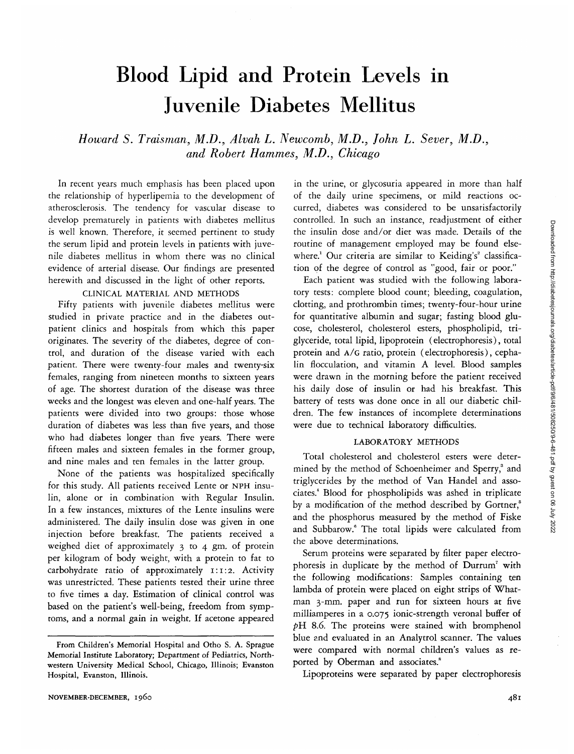# Blood Lipid and Protein Levels in Juvenile Diabetes Mellitus

*Howard S. Traisman, M.D., Alvah L. Newcomb, M.D., John L. Sever, M.D., and Robert Hammes, M.D., Chicago*

In recent years much emphasis has been placed upon the relationship of hyperlipemia to the development of atherosclerosis. The tendency for vascular disease to develop prematurely in patients with diabetes mellitus is well known. Therefore, it seemed pertinent to study the serum lipid and protein levels in patients with juvenile diabetes mellitus in whom there was no clinical evidence of arterial disease. Our findings are presented herewith and discussed in the light of other reports.

# CLINICAL MATERIAL AND METHODS

Fifty patients with juvenile diabetes mellitus were studied in private practice and in the diabetes outpatient clinics and hospitals from which this paper originates. The severity of the diabetes, degree of control, and duration of the disease varied with each patient. There were twenty-four males and twenty-six females, ranging from nineteen months to sixteen years of age. The shortest duration of the disease was three weeks and the longest was eleven and one-half years. The patients were divided into two groups: those whose duration of diabetes was less than five years, and those who had diabetes longer than five years. There were fifteen males and sixteen females in the former group, and nine males and ten females in the latter group.

None of the patients was hospitalized specifically for this study. All patients received Lente or NPH insulin, alone or in combination with Regular Insulin. In a few instances, mixtures of the Lente insulins were administered. The daily insulin dose was given in one injection before breakfast. The patients received a weighed diet of approximately 3 to 4 gm. of protein per kilogram of body weight, with a protein to fat to carbohydrate ratio of approximately 1:1:2. Activity was unrestricted. These patients tested their urine three to five times a day. Estimation of clinical control was based on the patient's well-being, freedom from symptoms, and a normal gain in weight. If acetone appeared in the urine, or glycosuria appeared in more than half of the daily urine specimens, or mild reactions occurred, diabetes was considered to be unsatisfactorily controlled. In such an instance, readjustment of either the insulin dose and/or diet was made. Details of the routine of management employed may be found elsewhere.<sup>1</sup> Our criteria are similar to Keiding's<sup>2</sup> classification of the degree of control as "good, fair or poor."

Each patient was studied with the following laboratory tests: complete blood count; bleeding, coagulation, clotting, and prothrombin times; twenty-four-hour urine for quantitative albumin and sugar; fasting blood glucose, cholesterol, cholesterol esters, phospholipid, triglyceride, total lipid, lipoprotein (electrophoresis), total protein and A/G ratio, protein (electrophoresis), cephalin flocculation, and vitamin A level. Blood samples were drawn in the morning before the patient received his daily dose of insulin or had his breakfast. This battery of tests was done once in all our diabetic children. The few instances of incomplete determinations were due to technical laboratory difficulties.

## LABORATORY METHODS

Total cholesterol and cholesterol esters were determined by the method of Schoenheimer and Sperry,<sup>3</sup> and triglycerides by the method of Van Handel and associates.4 Blood for phospholipids was ashed in triplicate by a modification of the method described by Gortner,<sup>5</sup> and the phosphorus measured by the method of Fiske and Subbarow.<sup>6</sup> The total lipids were calculated from the above determinations.

Serum proteins were separated by filter paper electrophoresis in duplicate by the method of Durrum<sup>7</sup> with the following modifications: Samples containing ten lambda of protein were placed on eight strips of Whatman 3-mm. paper and run for sixteen hours at five milliamperes in a 0.075 ionic-strength veronal buffer of *pH* 8.6. The proteins were stained with bromphenol blue and evaluated in an Analytrol scanner. The values were compared with normal children's values as reported by Oberman and associates.<sup>8</sup>

Lipoproteins were separated by paper electrophoresis

From Children's Memorial Hospital and Otho S. A. Sprague Memorial Institute Laboratory; Department of Pediatrics, Northwestern University Medical School, Chicago, Illinois; Evanston Hospital, Evanston, Illinois.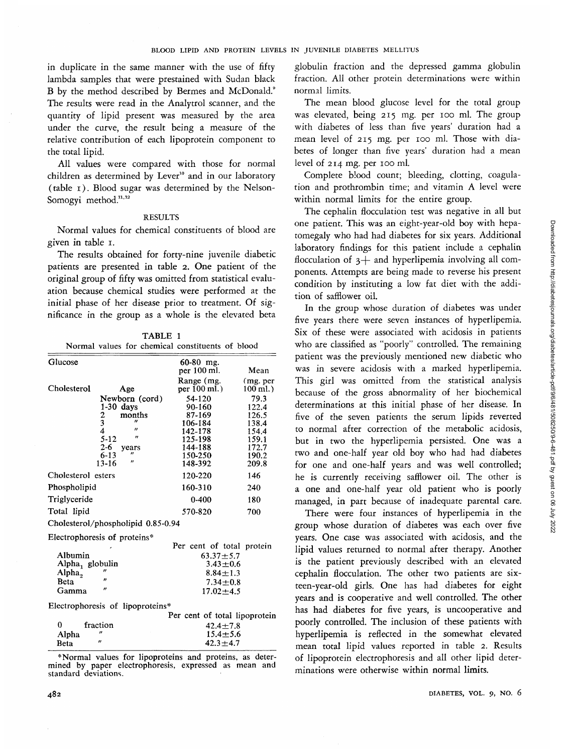in duplicate in the same manner with the use of fifty lambda samples that were prestained with Sudan black B by the method described by Bermes and McDonald.<sup>9</sup> The results were read in the Analytrol scanner, and the quantity of lipid present was measured by the area under the curve, the result being a measure of the relative contribution of each lipoprotein component to the total lipid.

All values were compared with those for normal children as determined by Lever<sup>10</sup> and in our laboratory (table i). Blood sugar was determined by the Nelson-Somogyi method.<sup>11,12</sup>

## RESULTS

Normal values for chemical constituents of blood are given in table i.

The results obtained for forty-nine juvenile diabetic patients are presented in table 2. One patient of the original group of fifty was omitted from statistical evaluation because chemical studies were performed at the initial phase of her disease prior to treatment. Of significance in the group as a whole is the elevated beta

TABLE 1 Normal values for chemical constituents of blood

| Glucose            |                                      | $60-80$ mg.                   |           |  |
|--------------------|--------------------------------------|-------------------------------|-----------|--|
|                    |                                      | per 100 ml.                   | Mean      |  |
|                    |                                      | Range (mg.                    | (mg. per) |  |
| Cholesterol        | Age                                  | per 100 ml.)                  | 100 ml.)  |  |
|                    | Newborn (cord)                       | 54-120                        | 79.3      |  |
|                    | $1-30$ days                          | 90-160                        | 122.4     |  |
|                    | $\frac{2}{3}$<br>4<br>5-12<br>months | 87-169                        | 126.5     |  |
|                    | $^{\prime\prime}$                    | 106-184                       | 138.4     |  |
|                    | $^{\prime\prime}$                    | 142-178                       | 154.4     |  |
|                    | $\boldsymbol{H}$                     | 125-198                       | 159.1     |  |
|                    | $2 - 6$<br>years                     | 144-188                       | 172.7     |  |
|                    | "<br>$6 - 13$                        | 150-250                       | 190.2     |  |
|                    | $^{\prime\prime}$<br>$13 - 16$       | 148-392                       | 209.8     |  |
| Cholesterol esters |                                      | 120-220                       | 146       |  |
| Phospholipid       |                                      | 160-310                       | 240       |  |
| Triglyceride       |                                      | $0 - 400$                     | 180       |  |
| Total lipid        |                                      | 570-820                       | 700       |  |
|                    | Cholesterol/phospholipid 0.85-0.94   |                               |           |  |
|                    | Electrophoresis of proteins*         |                               |           |  |
|                    |                                      | Per cent of total protein     |           |  |
| Albumin            |                                      | $63.37 + 5.7$                 |           |  |
| Alpha, globulin    |                                      | $3.43 + 0.6$                  |           |  |
| Alpha <sub>2</sub> |                                      | $8.84 \pm 1.3$                |           |  |
| Beta               | "                                    | $7.34 \!\pm\! 0.8$            |           |  |
| Gamma              | $^{\prime\prime}$                    | $17.02 + 4.5$                 |           |  |
|                    | Electrophoresis of lipoproteins*     |                               |           |  |
|                    |                                      | Per cent of total lipoprotein |           |  |
| 0                  | fraction                             | $42.4 + 7.8$                  |           |  |
| Alpha              | $^{\prime\prime}$                    | $15.4 \pm 5.6$                |           |  |

\* Normal values for lipoproteins and proteins, as deter- mined by paper electrophoresis, expressed as mean and standard deviations.

 $42.3 \pm 4.7$ 

globulin fraction and the depressed gamma globulin fraction. All other protein determinations were within normal limits.

The mean blood glucose level for the total group was elevated, being 215 mg. per 100 ml. The group with diabetes of less than five years' duration had a mean level of 215 mg. per 100 ml. Those with diabetes of longer than five years' duration had a mean level of 214 mg. per 100 ml.

Complete blood count; bleeding, clotting, coagulation and prothrombin time; and vitamin A level were within normal limits for the entire group.

The cephalin flocculation test was negative in all but one patient. This was an eight-year-old boy with hepatomegaly who had had diabetes for six years. Additional laboratory findings for this patient include a cephalin flocculation of  $3+$  and hyperlipemia involving all components. Attempts are being made to reverse his present condition by instituting a low fat diet with the addition of safflower oil.

In the group whose duration of diabetes was under five years there were seven instances of hyperlipemia. Six of these were associated with acidosis in patients who are classified as "poorly" controlled. The remaining patient was the previously mentioned new diabetic who was in severe acidosis with a marked hyperlipemia. This girl was omitted from the statistical analysis because of the gross abnormality of her biochemical determinations at this initial phase of her disease. In five of the seven patients the serum lipids reverted to normal after correction of the metabolic acidosis, but in two the hyperlipemia persisted. One was a two and one-half year old boy who had had diabetes for one and one-half years and was well controlled; he is currently receiving safflower oil. The other is a one and one-half year old patient who is poorly managed, in part because of inadequate parental care.

There were four instances of hyperlipemia in the group whose duration of diabetes was each over five years. One case was associated with acidosis, and the lipid values returned to normal after therapy. Another is the patient previously described with an elevated cephalin flocculation. The other two patients are sixteen-year-old girls. One has had diabetes for eight years and is cooperative and well controlled. The other has had diabetes for five years, is uncooperative and poorly controlled. The inclusion of these patients with hyperlipemia is reflected in the somewhat elevated mean total lipid values reported in table 2. Results of lipoprotein electrophoresis and all other lipid determinations were otherwise within normal limits.

Beta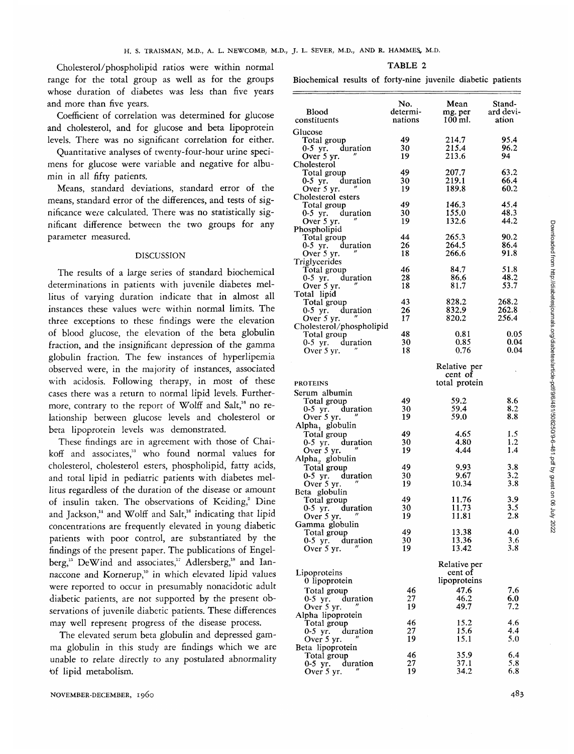Cholesterol/phospholipid ratios were within normal range for the total group as well as for the groups whose duration of diabetes was less than five years and more than five years.

Coefficient of correlation was determined for glucose and cholesterol, and for glucose and beta lipoprotein levels. There was no significant correlation for either.

Quantitative analyses of twenty-four-hour urine specimens for glucose were variable and negative for albumin in all fifty patients.

Means, standard deviations, standard error of the means, standard error of the differences, and tests of significance were calculated. There was no statistically significant difference between the two groups for any parameter measured.

## DISCUSSION

The results of a large series of standard biochemical determinations in patients with juvenile diabetes mellitus of varying duration indicate that in almost all instances these values were within normal limits. The three exceptions to these findings were the elevation of blood glucose, the elevation of the beta globulin fraction, and the insignificant depression of the gamma globulin fraction. The few instances of hyperlipemia observed were, in the majority of instances, associated with acidosis. Following therapy, in most of these cases there was a return to normal lipid levels. Furthermore, contrary to the report of Wolff and Salt,<sup>16</sup> no relationship between glucose levels and cholesterol or beta lipoprotein levels was demonstrated.

These findings are in agreement with those of Chaikoff and associates,<sup>13</sup> who found normal values for cholesterol, cholesterol esters, phospholipid, fatty acids, and total lipid in pediatric patients with diabetes mellitus regardless of the duration of the disease or amount of insulin taken. The observations of Keiding,<sup>2</sup> Dine and Jackson,<sup>14</sup> and Wolff and Salt,<sup>16</sup> indicating that lipid concentrations are frequently elevated in young diabetic patients with poor control, are substantiated by the findings of the present paper. The publications of Engelberg,<sup>15</sup> DeWind and associates,<sup>17</sup> Adlersberg,<sup>18</sup> and Iannaccone and Kornerup,<sup>10</sup> in which elevated lipid values were reported to occur in presumably nonacidotic adult diabetic patients, are not supported by the present observations of juvenile diabetic patients. These differences may well represent progress of the disease process.

The elevated serum beta globulin and depressed gamma globulin in this study are findings which we are unable to relate directly to any postulated abnormality tof lipid metabolism.

#### TABLE 2

Biochemical results of forty-nine juvenile diabetic patients

| <b>Blood</b>                               | No.<br>determi- | Mean<br>mg. per         | Stand-<br>ard devi- |
|--------------------------------------------|-----------------|-------------------------|---------------------|
| constituents                               | nations         | 100 ml.                 | ation               |
| Glucose                                    |                 |                         |                     |
| Total group                                | 49              | 214.7                   | 95.4                |
| 0-5 yr. duration                           | 30              | 215.4                   | 96.2                |
| Over 5 yr.                                 | 19              | 213.6                   | 94                  |
| Cholesterol<br>Total group                 | 49              | 207.7                   | 63.2                |
| 0-5 yr. duration                           | 30              | 219.1                   | 66.4                |
| Over 5 yr.                                 | 19              | 189.8                   | 60.2                |
| Cholesterol esters                         |                 |                         |                     |
| Total group                                | 49              | 146.3                   | 45.4                |
| 0-5 yr. duration<br>Over 5 yr.             | 30<br>19        | 155.0<br>132.6          | 48.3<br>44.2        |
| Phospholipid                               |                 |                         |                     |
| Total group                                | 44              | 265.3                   | 90.2                |
| 0-5 yr. duration                           | 26              | 264.5                   | 86.4                |
| Over 5 yr.                                 | 18              | 266.6                   | 91.8                |
| Triglycerides                              | 46              | 84.7                    | 51.8                |
| Total group<br>0-5 yr. duration            | 28              | 86.6                    | 48.2                |
| Over 5 yr.                                 | 18              | 81.7                    | 53.7                |
| Total lipid                                |                 |                         |                     |
| Total group                                | 43              | 828.2                   | 268.2               |
| 0-5 yr. duration<br>$^{\prime\prime}$      | 26              | 832.9                   | 262.8               |
| Over 5 yr.<br>Cholesterol/phospholipid     | 17              | 820.2                   | 256.4               |
| Total group                                | 48              | 0.81                    | 0.05                |
| 0-5 yr. duration                           | 30              | 0.85                    | 0.04                |
| Over 5 yr.                                 | 18              | 0.76                    | 0.04                |
|                                            |                 | Relative per<br>cent of |                     |
| <b>PROTEINS</b>                            |                 | total protein           |                     |
| Serum albumin                              |                 |                         |                     |
| Total group                                | 49              | 59.2                    | 8.6                 |
| 0-5 yr. duration                           | 30              | 59.4                    | 8.2                 |
| Over 5 yr.                                 | 19              | 59.0                    | 8.8                 |
| Alpha <sub>1</sub> globulin<br>Total group | 49              | 4.65                    | 1.5                 |
| 0-5 yr. duration                           | 30              | 4.80                    | 1.2                 |
| Over 5 yr.                                 | 19              | 4.44                    | 1.4                 |
| Alpha, globulin                            |                 |                         |                     |
| Total group                                | 49              | 9.93                    | 3.8                 |
| 0-5 yr. duration                           | 30<br>19        | 9.67<br>10.34           | 3.2<br>3.8          |
| Over 5 yr.<br>Beta globulin                |                 |                         |                     |
| Total group                                | 49              | 11.76                   | 3.9                 |
| 0-5 yr. duration                           | 30              | 11.73                   | 3.5                 |
| Over 5 yr.                                 | 19              | 11.81                   | 2.8                 |
| Gamma globulin                             | 49              | 13.38                   | 4.0                 |
| Total group<br>0-5 yr. duration            | 30              | 13.36                   | 3.6                 |
| Over 5 yr.                                 | 19              | 13.42                   | 3.8                 |
|                                            |                 |                         |                     |
| Lipoproteins                               |                 | Relative per<br>cent of |                     |
| 0 lipoprotein                              |                 | lipoproteins            |                     |
| Total group                                | 46              | 47.6                    | 7.6                 |
| 0-5 yr. duration                           | 27              | 46.2                    | 6.0                 |
| Over 5 yr.                                 | 19              | 49.7                    | 7.2                 |
| Alpha lipoprotein                          |                 |                         |                     |
| Total group<br>0-5 yr. duration            | 46<br>27        | 15.2<br>15.6            | 4.6<br>4.4          |
| Over 5 yr.                                 | 19              | 15.1                    | 5.0                 |
| Beta lipoprotein                           |                 |                         |                     |
| Total group                                | 46              | 35.9                    | 6.4                 |
| 0-5 yr. duration                           | 27              | 37.1                    | 5.8                 |
| Over 5 yr.                                 | 19              | 34.2                    | 6.8                 |